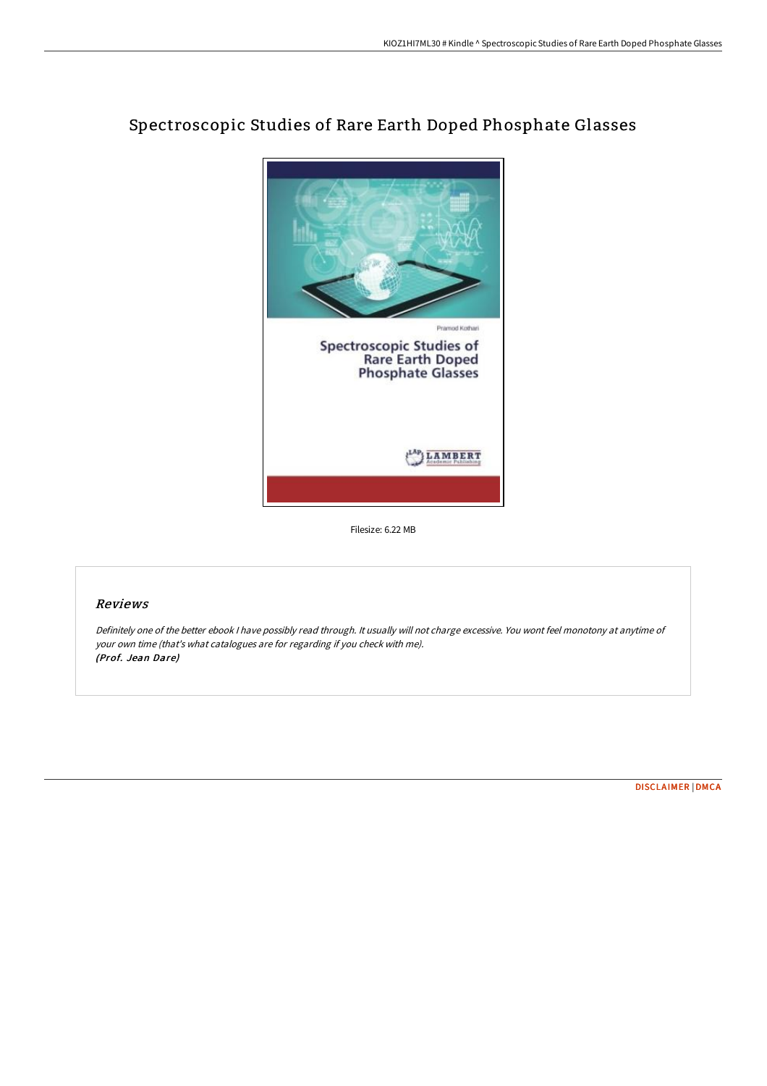

# Spectroscopic Studies of Rare Earth Doped Phosphate Glasses

Filesize: 6.22 MB

### Reviews

Definitely one of the better ebook <sup>I</sup> have possibly read through. It usually will not charge excessive. You wont feel monotony at anytime of your own time (that's what catalogues are for regarding if you check with me). (Prof. Jean Dare)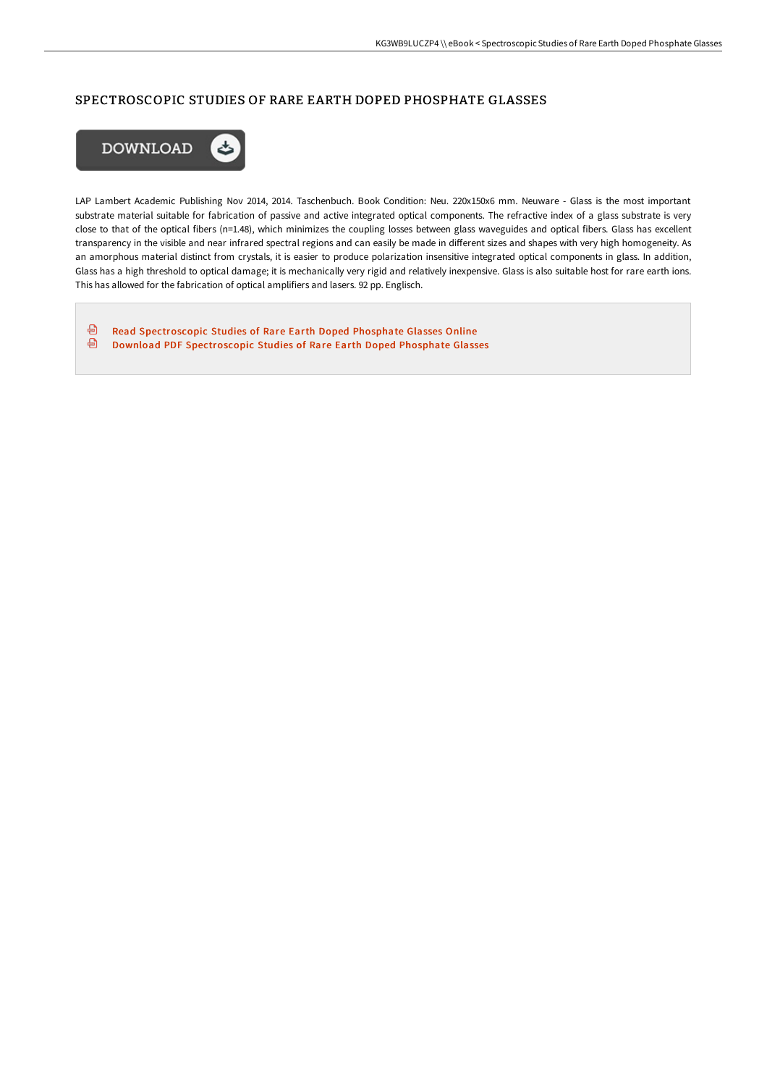## SPECTROSCOPIC STUDIES OF RARE EARTH DOPED PHOSPHATE GLASSES



LAP Lambert Academic Publishing Nov 2014, 2014. Taschenbuch. Book Condition: Neu. 220x150x6 mm. Neuware - Glass is the most important substrate material suitable for fabrication of passive and active integrated optical components. The refractive index of a glass substrate is very close to that of the optical fibers (n=1.48), which minimizes the coupling losses between glass waveguides and optical fibers. Glass has excellent transparency in the visible and near infrared spectral regions and can easily be made in different sizes and shapes with very high homogeneity. As an amorphous material distinct from crystals, it is easier to produce polarization insensitive integrated optical components in glass. In addition, Glass has a high threshold to optical damage; it is mechanically very rigid and relatively inexpensive. Glass is also suitable host for rare earth ions. This has allowed for the fabrication of optical amplifiers and lasers. 92 pp. Englisch.

⊕ Read [Spectroscopic](http://techno-pub.tech/spectroscopic-studies-of-rare-earth-doped-phosph.html) Studies of Rare Earth Doped Phosphate Glasses Online ⊕ Download PDF [Spectroscopic](http://techno-pub.tech/spectroscopic-studies-of-rare-earth-doped-phosph.html) Studies of Rare Earth Doped Phosphate Glasses